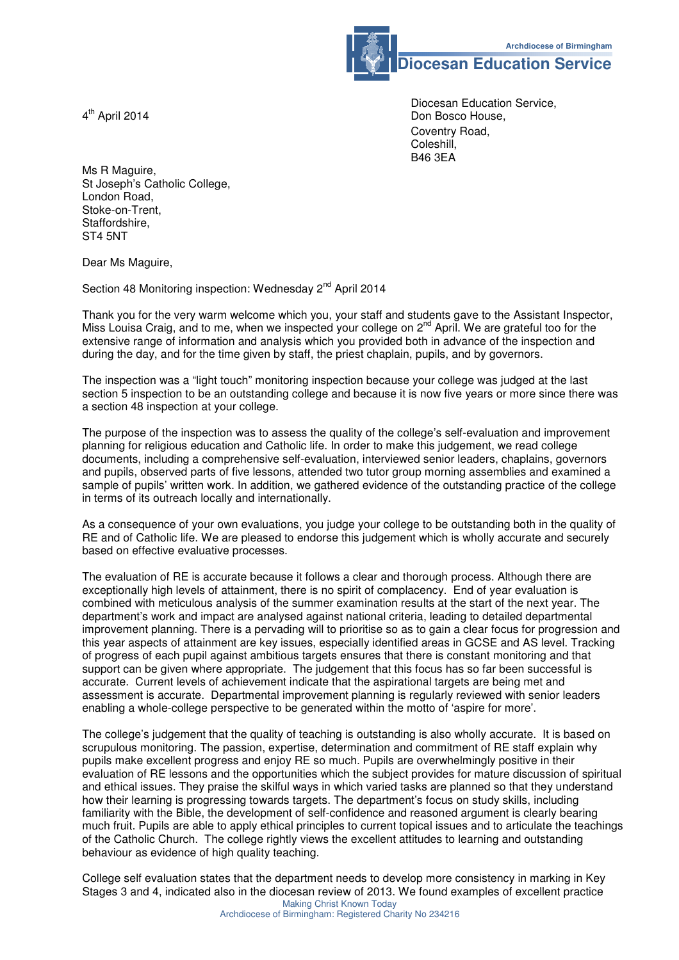

**Diocesan Education Service** 

 Diocesan Education Service, Don Bosco House, Coventry Road, Coleshill,<br>B46 3EA B46 3EA

4<sup>th</sup> April 2014

Ms R Maguire, St Joseph's Catholic College, London Road, Stoke-on-Trent, Staffordshire, ST4 5NT

Dear Ms Maguire,

Section 48 Monitoring inspection: Wednesday 2<sup>nd</sup> April 2014

Thank you for the very warm welcome which you, your staff and students gave to the Assistant Inspector, Miss Louisa Craig, and to me, when we inspected your college on 2<sup>nd</sup> April. We are grateful too for the extensive range of information and analysis which you provided both in advance of the inspection and during the day, and for the time given by staff, the priest chaplain, pupils, and by governors.

The inspection was a "light touch" monitoring inspection because your college was judged at the last section 5 inspection to be an outstanding college and because it is now five years or more since there was a section 48 inspection at your college.

The purpose of the inspection was to assess the quality of the college's self-evaluation and improvement planning for religious education and Catholic life. In order to make this judgement, we read college documents, including a comprehensive self-evaluation, interviewed senior leaders, chaplains, governors and pupils, observed parts of five lessons, attended two tutor group morning assemblies and examined a sample of pupils' written work. In addition, we gathered evidence of the outstanding practice of the college in terms of its outreach locally and internationally.

As a consequence of your own evaluations, you judge your college to be outstanding both in the quality of RE and of Catholic life. We are pleased to endorse this judgement which is wholly accurate and securely based on effective evaluative processes.

The evaluation of RE is accurate because it follows a clear and thorough process. Although there are exceptionally high levels of attainment, there is no spirit of complacency. End of year evaluation is combined with meticulous analysis of the summer examination results at the start of the next year. The department's work and impact are analysed against national criteria, leading to detailed departmental improvement planning. There is a pervading will to prioritise so as to gain a clear focus for progression and this year aspects of attainment are key issues, especially identified areas in GCSE and AS level. Tracking of progress of each pupil against ambitious targets ensures that there is constant monitoring and that support can be given where appropriate. The judgement that this focus has so far been successful is accurate. Current levels of achievement indicate that the aspirational targets are being met and assessment is accurate. Departmental improvement planning is regularly reviewed with senior leaders enabling a whole-college perspective to be generated within the motto of 'aspire for more'.

The college's judgement that the quality of teaching is outstanding is also wholly accurate. It is based on scrupulous monitoring. The passion, expertise, determination and commitment of RE staff explain why pupils make excellent progress and enjoy RE so much. Pupils are overwhelmingly positive in their evaluation of RE lessons and the opportunities which the subject provides for mature discussion of spiritual and ethical issues. They praise the skilful ways in which varied tasks are planned so that they understand how their learning is progressing towards targets. The department's focus on study skills, including familiarity with the Bible, the development of self-confidence and reasoned argument is clearly bearing much fruit. Pupils are able to apply ethical principles to current topical issues and to articulate the teachings of the Catholic Church. The college rightly views the excellent attitudes to learning and outstanding behaviour as evidence of high quality teaching.

Making Christ Known Today College self evaluation states that the department needs to develop more consistency in marking in Key Stages 3 and 4, indicated also in the diocesan review of 2013. We found examples of excellent practice